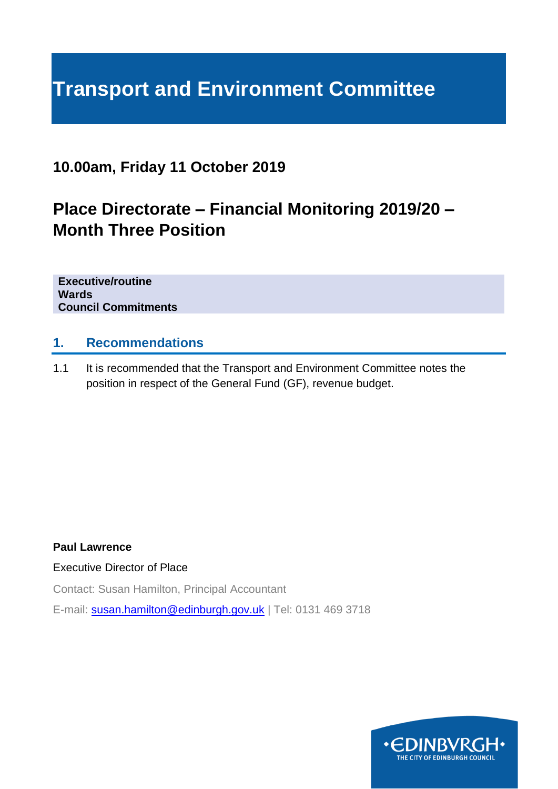# **Transport and Environment Committee**

## **10.00am, Friday 11 October 2019**

## **Place Directorate – Financial Monitoring 2019/20 – Month Three Position**

**Executive/routine Wards Council Commitments**

#### **1. Recommendations**

1.1 It is recommended that the Transport and Environment Committee notes the position in respect of the General Fund (GF), revenue budget.

#### **Paul Lawrence**

#### Executive Director of Place

Contact: Susan Hamilton, Principal Accountant

E-mail: [susan.hamilton@edinburgh.gov.uk](mailto:susan.hamilton@edinburgh.gov.uk) | Tel: 0131 469 3718

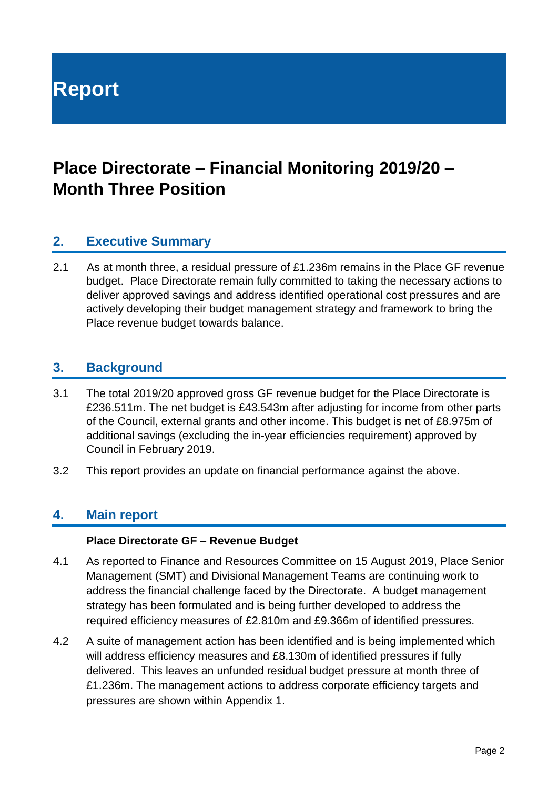**Report**

## **Place Directorate – Financial Monitoring 2019/20 – Month Three Position**

## **2. Executive Summary**

2.1 As at month three, a residual pressure of £1.236m remains in the Place GF revenue budget. Place Directorate remain fully committed to taking the necessary actions to deliver approved savings and address identified operational cost pressures and are actively developing their budget management strategy and framework to bring the Place revenue budget towards balance.

#### **3. Background**

- 3.1 The total 2019/20 approved gross GF revenue budget for the Place Directorate is £236.511m. The net budget is £43.543m after adjusting for income from other parts of the Council, external grants and other income. This budget is net of £8.975m of additional savings (excluding the in-year efficiencies requirement) approved by Council in February 2019.
- 3.2 This report provides an update on financial performance against the above.

#### **4. Main report**

#### **Place Directorate GF – Revenue Budget**

- 4.1 As reported to Finance and Resources Committee on 15 August 2019, Place Senior Management (SMT) and Divisional Management Teams are continuing work to address the financial challenge faced by the Directorate. A budget management strategy has been formulated and is being further developed to address the required efficiency measures of £2.810m and £9.366m of identified pressures.
- 4.2 A suite of management action has been identified and is being implemented which will address efficiency measures and £8.130m of identified pressures if fully delivered. This leaves an unfunded residual budget pressure at month three of £1.236m. The management actions to address corporate efficiency targets and pressures are shown within Appendix 1.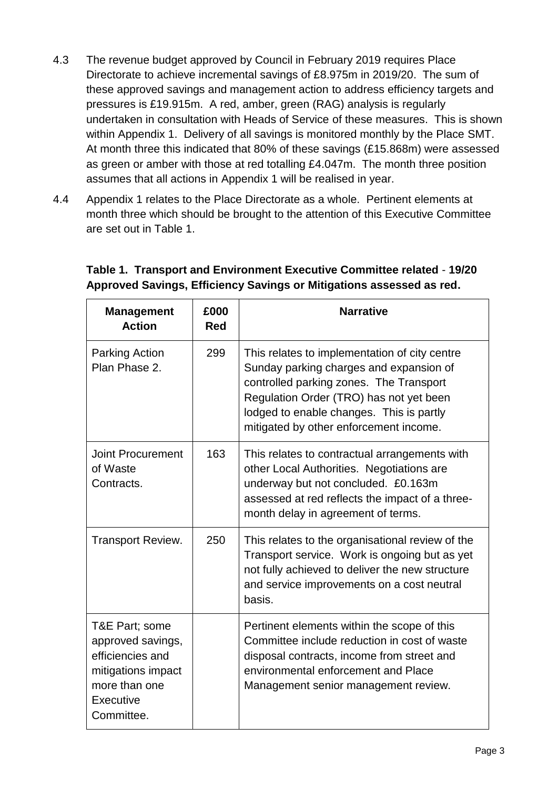- 4.3 The revenue budget approved by Council in February 2019 requires Place Directorate to achieve incremental savings of £8.975m in 2019/20. The sum of these approved savings and management action to address efficiency targets and pressures is £19.915m. A red, amber, green (RAG) analysis is regularly undertaken in consultation with Heads of Service of these measures. This is shown within Appendix 1. Delivery of all savings is monitored monthly by the Place SMT. At month three this indicated that 80% of these savings (£15.868m) were assessed as green or amber with those at red totalling £4.047m. The month three position assumes that all actions in Appendix 1 will be realised in year.
- 4.4 Appendix 1 relates to the Place Directorate as a whole. Pertinent elements at month three which should be brought to the attention of this Executive Committee are set out in Table 1.

| <b>Management</b><br><b>Action</b>                                                                                        | £000<br>Red | <b>Narrative</b>                                                                                                                                                                                                                                                     |
|---------------------------------------------------------------------------------------------------------------------------|-------------|----------------------------------------------------------------------------------------------------------------------------------------------------------------------------------------------------------------------------------------------------------------------|
| <b>Parking Action</b><br>Plan Phase 2.                                                                                    | 299         | This relates to implementation of city centre<br>Sunday parking charges and expansion of<br>controlled parking zones. The Transport<br>Regulation Order (TRO) has not yet been<br>lodged to enable changes. This is partly<br>mitigated by other enforcement income. |
| <b>Joint Procurement</b><br>of Waste<br>Contracts.                                                                        | 163         | This relates to contractual arrangements with<br>other Local Authorities. Negotiations are<br>underway but not concluded. £0.163m<br>assessed at red reflects the impact of a three-<br>month delay in agreement of terms.                                           |
| <b>Transport Review.</b>                                                                                                  | 250         | This relates to the organisational review of the<br>Transport service. Work is ongoing but as yet<br>not fully achieved to deliver the new structure<br>and service improvements on a cost neutral<br>basis.                                                         |
| T&E Part; some<br>approved savings,<br>efficiencies and<br>mitigations impact<br>more than one<br>Executive<br>Committee. |             | Pertinent elements within the scope of this<br>Committee include reduction in cost of waste<br>disposal contracts, income from street and<br>environmental enforcement and Place<br>Management senior management review.                                             |

### **Table 1. Transport and Environment Executive Committee related** - **19/20 Approved Savings, Efficiency Savings or Mitigations assessed as red.**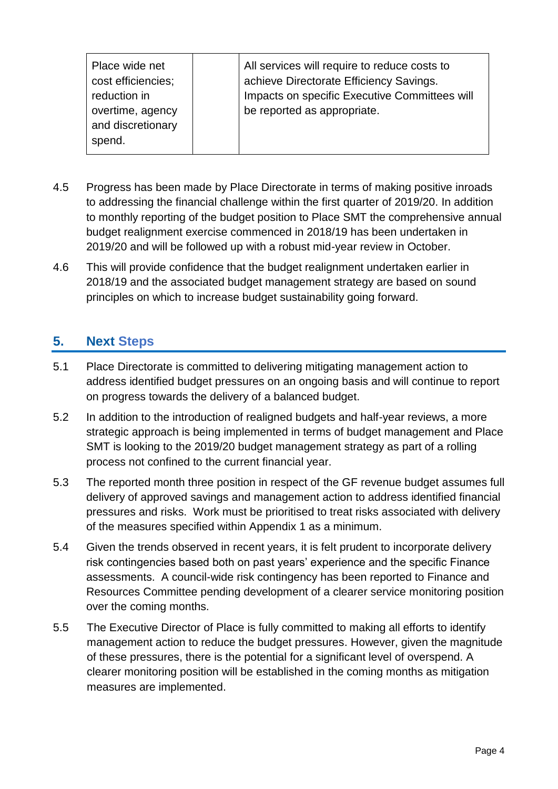- 4.5 Progress has been made by Place Directorate in terms of making positive inroads to addressing the financial challenge within the first quarter of 2019/20. In addition to monthly reporting of the budget position to Place SMT the comprehensive annual budget realignment exercise commenced in 2018/19 has been undertaken in 2019/20 and will be followed up with a robust mid-year review in October.
- 4.6 This will provide confidence that the budget realignment undertaken earlier in 2018/19 and the associated budget management strategy are based on sound principles on which to increase budget sustainability going forward.

## **5. Next Steps**

- 5.1 Place Directorate is committed to delivering mitigating management action to address identified budget pressures on an ongoing basis and will continue to report on progress towards the delivery of a balanced budget.
- 5.2 In addition to the introduction of realigned budgets and half-year reviews, a more strategic approach is being implemented in terms of budget management and Place SMT is looking to the 2019/20 budget management strategy as part of a rolling process not confined to the current financial year.
- 5.3 The reported month three position in respect of the GF revenue budget assumes full delivery of approved savings and management action to address identified financial pressures and risks. Work must be prioritised to treat risks associated with delivery of the measures specified within Appendix 1 as a minimum.
- 5.4 Given the trends observed in recent years, it is felt prudent to incorporate delivery risk contingencies based both on past years' experience and the specific Finance assessments. A council-wide risk contingency has been reported to Finance and Resources Committee pending development of a clearer service monitoring position over the coming months.
- 5.5 The Executive Director of Place is fully committed to making all efforts to identify management action to reduce the budget pressures. However, given the magnitude of these pressures, there is the potential for a significant level of overspend. A clearer monitoring position will be established in the coming months as mitigation measures are implemented.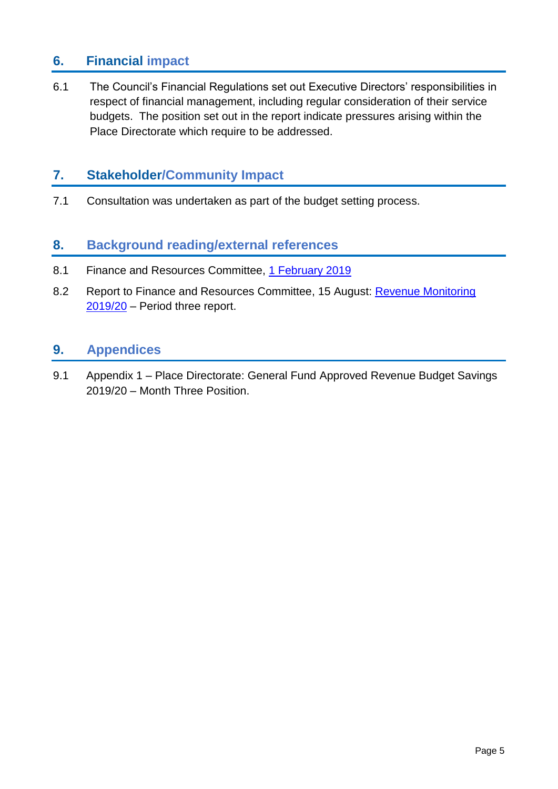## **6. Financial impact**

6.1 The Council's Financial Regulations set out Executive Directors' responsibilities in respect of financial management, including regular consideration of their service budgets. The position set out in the report indicate pressures arising within the Place Directorate which require to be addressed.

## **7. Stakeholder/Community Impact**

7.1 Consultation was undertaken as part of the budget setting process.

## **8. Background reading/external references**

- 8.1 Finance and Resources Committee, [1 February 2019](https://democracy.edinburgh.gov.uk/Data/Finance%20and%20Resources%20Committee/20190201/Agenda/$full_meeting_papers_-_finance_and_resources_committee_-_1_february_2019.xls.pdf)
- 8.2 Report to Finance and Resources Committee, 15 August: [Revenue Monitoring](https://democracy.edinburgh.gov.uk/mgIssueHistoryHome.aspx?IId=6691)  [2019/20](https://democracy.edinburgh.gov.uk/mgIssueHistoryHome.aspx?IId=6691) – Period three report.

### **9. Appendices**

9.1 Appendix 1 – Place Directorate: General Fund Approved Revenue Budget Savings 2019/20 – Month Three Position.